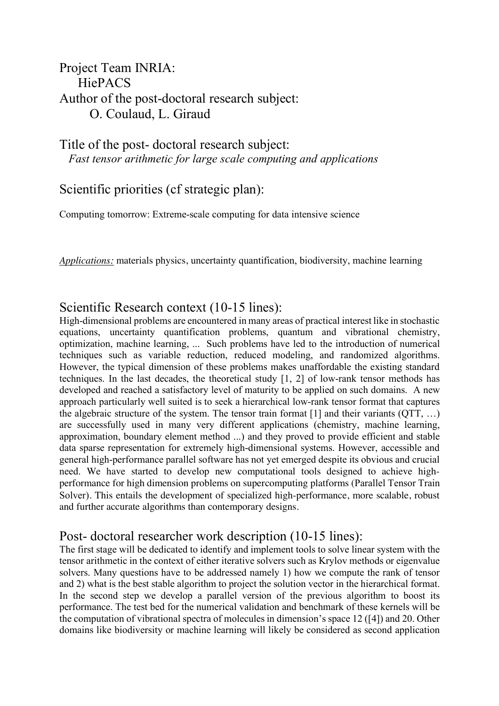## Project Team INRIA: HiePACS Author of the post-doctoral research subject: O. Coulaud, L. Giraud

Title of the post- doctoral research subject: *Fast tensor arithmetic for large scale computing and applications* 

Scientific priorities (cf strategic plan):

Computing tomorrow: Extreme-scale computing for data intensive science

*Applications:* materials physics, uncertainty quantification, biodiversity, machine learning

### Scientific Research context (10-15 lines):

High-dimensional problems are encountered in many areas of practical interest like in stochastic equations, uncertainty quantification problems, quantum and vibrational chemistry, optimization, machine learning, ... Such problems have led to the introduction of numerical techniques such as variable reduction, reduced modeling, and randomized algorithms. However, the typical dimension of these problems makes unaffordable the existing standard techniques. In the last decades, the theoretical study [1, 2] of low-rank tensor methods has developed and reached a satisfactory level of maturity to be applied on such domains. A new approach particularly well suited is to seek a hierarchical low-rank tensor format that captures the algebraic structure of the system. The tensor train format  $[1]$  and their variants  $(QTT, ...)$ are successfully used in many very different applications (chemistry, machine learning, approximation, boundary element method ...) and they proved to provide efficient and stable data sparse representation for extremely high-dimensional systems. However, accessible and general high-performance parallel software has not yet emerged despite its obvious and crucial need. We have started to develop new computational tools designed to achieve highperformance for high dimension problems on supercomputing platforms (Parallel Tensor Train Solver). This entails the development of specialized high-performance, more scalable, robust and further accurate algorithms than contemporary designs.

### Post- doctoral researcher work description (10-15 lines):

The first stage will be dedicated to identify and implement tools to solve linear system with the tensor arithmetic in the context of either iterative solvers such as Krylov methods or eigenvalue solvers. Many questions have to be addressed namely 1) how we compute the rank of tensor and 2) what is the best stable algorithm to project the solution vector in the hierarchical format. In the second step we develop a parallel version of the previous algorithm to boost its performance. The test bed for the numerical validation and benchmark of these kernels will be the computation of vibrational spectra of molecules in dimension's space 12 ([4]) and 20. Other domains like biodiversity or machine learning will likely be considered as second application